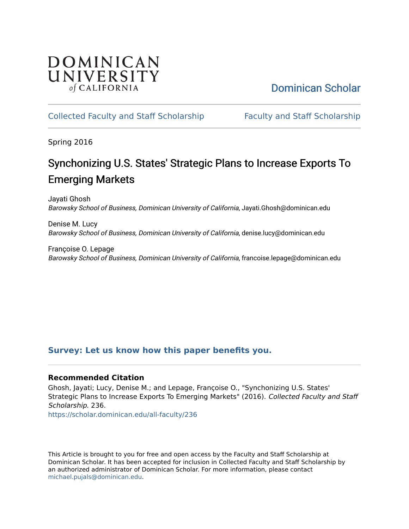## DOMINICAN UNIVERSITY of CALIFORNIA

# [Dominican Scholar](https://scholar.dominican.edu/)

## [Collected Faculty and Staff Scholarship](https://scholar.dominican.edu/all-faculty) [Faculty and Staff Scholarship](https://scholar.dominican.edu/faculty-scholarship)

Spring 2016

# Synchonizing U.S. States' Strategic Plans to Increase Exports To Emerging Markets

Jayati Ghosh Barowsky School of Business, Dominican University of California, Jayati.Ghosh@dominican.edu

Denise M. Lucy Barowsky School of Business, Dominican University of California, denise.lucy@dominican.edu

Françoise O. Lepage Barowsky School of Business, Dominican University of California, francoise.lepage@dominican.edu

## **[Survey: Let us know how this paper benefits you.](https://dominican.libwizard.com/dominican-scholar-feedback)**

### **Recommended Citation**

Ghosh, Jayati; Lucy, Denise M.; and Lepage, Françoise O., "Synchonizing U.S. States' Strategic Plans to Increase Exports To Emerging Markets" (2016). Collected Faculty and Staff Scholarship. 236.

[https://scholar.dominican.edu/all-faculty/236](https://scholar.dominican.edu/all-faculty/236?utm_source=scholar.dominican.edu%2Fall-faculty%2F236&utm_medium=PDF&utm_campaign=PDFCoverPages) 

This Article is brought to you for free and open access by the Faculty and Staff Scholarship at Dominican Scholar. It has been accepted for inclusion in Collected Faculty and Staff Scholarship by an authorized administrator of Dominican Scholar. For more information, please contact [michael.pujals@dominican.edu.](mailto:michael.pujals@dominican.edu)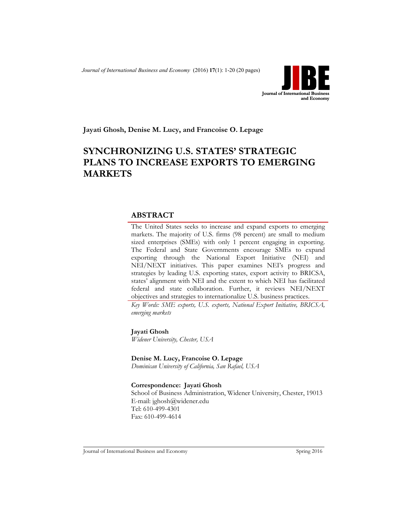*Journal of International Business and Economy* (2016) **17**(1): 1-20 (20 pages)



**Jayati Ghosh, Denise M. Lucy, and Francoise O. Lepage**

## **SYNCHRONIZING U.S. STATES' STRATEGIC PLANS TO INCREASE EXPORTS TO EMERGING MARKETS**

#### **ABSTRACT**

The United States seeks to increase and expand exports to emerging markets. The majority of U.S. firms (98 percent) are small to medium sized enterprises (SMEs) with only 1 percent engaging in exporting. The Federal and State Governments encourage SMEs to expand exporting through the National Export Initiative (NEI) and NEI/NEXT initiatives. This paper examines NEI's progress and strategies by leading U.S. exporting states, export activity to BRICSA, states' alignment with NEI and the extent to which NEI has facilitated federal and state collaboration. Further, it reviews NEI/NEXT objectives and strategies to internationalize U.S. business practices.

*Key Words: SME exports, U.S. exports, National Export Initiative, BRICSA, emerging markets*

**Jayati Ghosh** 

*Widener University, Chester, USA*

**Denise M. Lucy, Francoise O. Lepage**

*Dominican University of California, San Rafael, USA*

**Correspondence: Jayati Ghosh**

School of Business Administration, Widener University, Chester, 19013 E-mail: jghosh@widener.edu Tel: 610-499-4301 Fax: 610-499-4614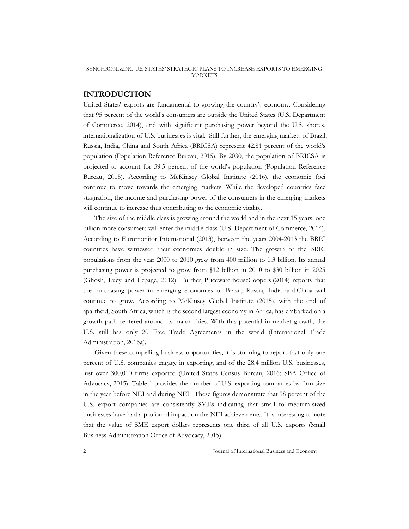#### **INTRODUCTION**

United States' exports are fundamental to growing the country's economy. Considering that 95 percent of the world's consumers are outside the United States (U.S. Department of Commerce, 2014), and with significant purchasing power beyond the U.S. shores, internationalization of U.S. businesses is vital. Still further, the emerging markets of Brazil, Russia, India, China and South Africa (BRICSA) represent 42.81 percent of the world's population (Population Reference Bureau, 2015). By 2030, the population of BRICSA is projected to account for 39.5 percent of the world's population (Population Reference Bureau, 2015). According to McKinsey Global Institute (2016), the economic foci continue to move towards the emerging markets. While the developed countries face stagnation, the income and purchasing power of the consumers in the emerging markets will continue to increase thus contributing to the economic vitality.

The size of the middle class is growing around the world and in the next 15 years, one billion more consumers will enter the middle class (U.S. Department of Commerce, 2014). According to Euromonitor International (2013), between the years 2004-2013 the BRIC countries have witnessed their economies double in size. The growth of the BRIC populations from the year 2000 to 2010 grew from 400 million to 1.3 billion. Its annual purchasing power is projected to grow from \$12 billion in 2010 to \$30 billion in 2025 (Ghosh, Lucy and Lepage, 2012). Further, PricewaterhouseCoopers (2014) reports that the purchasing power in emerging economies of Brazil, Russia, India and China will continue to grow. According to McKinsey Global Institute (2015), with the end of apartheid, South Africa, which is the second largest economy in Africa, has embarked on a growth path centered around its major cities. With this potential in market growth, the U.S. still has only 20 Free Trade Agreements in the world (International Trade Administration, 2015a).

Given these compelling business opportunities, it is stunning to report that only one percent of U.S. companies engage in exporting, and of the 28.4 million U.S. businesses, just over 300,000 firms exported (United States Census Bureau, 2016; SBA Office of Advocacy, 2015). Table 1 provides the number of U.S. exporting companies by firm size in the year before NEI and during NEI. These figures demonstrate that 98 percent of the U.S. export companies are consistently SMEs indicating that small to medium-sized businesses have had a profound impact on the NEI achievements. It is interesting to note that the value of SME export dollars represents one third of all U.S. exports (Small Business Administration Office of Advocacy, 2015).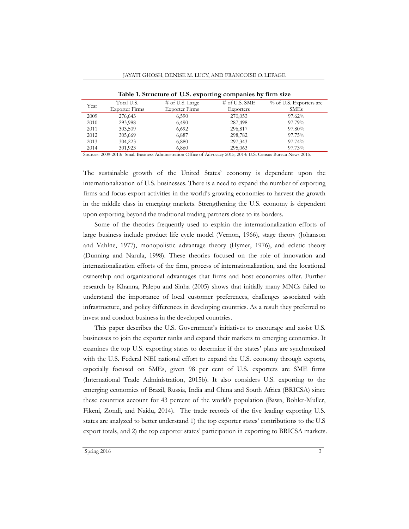| Year | Total U.S.            | $\#$ of U.S. Large    | $#$ of U.S. SME                                                             | % of U.S. Exporters are |
|------|-----------------------|-----------------------|-----------------------------------------------------------------------------|-------------------------|
|      | <b>Exporter Firms</b> | <b>Exporter Firms</b> | Exporters<br>270,053<br>287,498<br>296,817<br>298,782<br>297,343<br>295,063 | <b>SMEs</b>             |
| 2009 | 276,643               | 6,590                 |                                                                             | 97.62%                  |
| 2010 | 293,988               | 6,490                 |                                                                             | 97.79%                  |
| 2011 | 303,509               | 6,692                 |                                                                             | 97.80%                  |
| 2012 | 305,669               | 6,887                 |                                                                             | 97.75%                  |
| 2013 | 304,223               | 6,880                 |                                                                             | 97.74%                  |
| 2014 | 301,923               | 6,860                 |                                                                             | 97.73%                  |

**Table 1. Structure of U.S. exporting companies by firm size**

Sources: 2009-2013: Small Business Administration Office of Advocacy 2015; 2014: U.S. Census Bureau News 2015.

The sustainable growth of the United States' economy is dependent upon the internationalization of U.S. businesses. There is a need to expand the number of exporting firms and focus export activities in the world's growing economies to harvest the growth in the middle class in emerging markets. Strengthening the U.S. economy is dependent upon exporting beyond the traditional trading partners close to its borders.

Some of the theories frequently used to explain the internationalization efforts of large business include product life cycle model (Vernon, 1966), stage theory (Johanson and Vahlne, 1977), monopolistic advantage theory (Hymer, 1976), and ecletic theory (Dunning and Narula, 1998). These theories focused on the role of innovation and internationalization efforts of the firm, process of internationalization, and the locational ownership and organizational advantages that firms and host economies offer. Further research by Khanna, Palepu and Sinha (2005) shows that initially many MNCs failed to understand the importance of local customer preferences, challenges associated with infrastructure, and policy differences in developing countries. As a result they preferred to invest and conduct business in the developed countries.

This paper describes the U.S. Government's initiatives to encourage and assist U.S. businesses to join the exporter ranks and expand their markets to emerging economies. It examines the top U.S. exporting states to determine if the states' plans are synchronized with the U.S. Federal NEI national effort to expand the U.S. economy through exports, especially focused on SMEs, given 98 per cent of U.S. exporters are SME firms (International Trade Administration, 2015b). It also considers U.S. exporting to the emerging economies of Brazil, Russia, India and China and South Africa (BRICSA) since these countries account for 43 percent of the world's population (Bawa, Bohler-Muller, Fikeni, Zondi, and Naidu, 2014). The trade records of the five leading exporting U.S. states are analyzed to better understand 1) the top exporter states' contributions to the U.S export totals, and 2) the top exporter states' participation in exporting to BRICSA markets.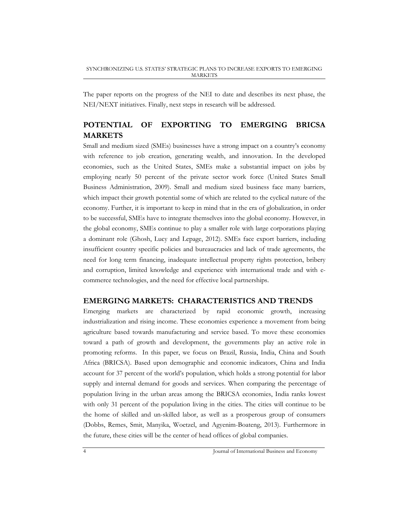The paper reports on the progress of the NEI to date and describes its next phase, the NEI/NEXT initiatives. Finally, next steps in research will be addressed.

## **POTENTIAL OF EXPORTING TO EMERGING BRICSA MARKETS**

Small and medium sized (SMEs) businesses have a strong impact on a country's economy with reference to job creation, generating wealth, and innovation. In the developed economies, such as the United States, SMEs make a substantial impact on jobs by employing nearly 50 percent of the private sector work force (United States Small Business Administration, 2009). Small and medium sized business face many barriers, which impact their growth potential some of which are related to the cyclical nature of the economy. Further, it is important to keep in mind that in the era of globalization, in order to be successful, SMEs have to integrate themselves into the global economy. However, in the global economy, SMEs continue to play a smaller role with large corporations playing a dominant role (Ghosh, Lucy and Lepage, 2012). SMEs face export barriers, including insufficient country specific policies and bureaucracies and lack of trade agreements, the need for long term financing, inadequate intellectual property rights protection, bribery and corruption, limited knowledge and experience with international trade and with ecommerce technologies, and the need for effective local partnerships.

#### **EMERGING MARKETS: CHARACTERISTICS AND TRENDS**

Emerging markets are characterized by rapid economic growth, increasing industrialization and rising income. These economies experience a movement from being agriculture based towards manufacturing and service based. To move these economies toward a path of growth and development, the governments play an active role in promoting reforms. In this paper, we focus on Brazil, Russia, India, China and South Africa (BRICSA). Based upon demographic and economic indicators, China and India account for 37 percent of the world's population, which holds a strong potential for labor supply and internal demand for goods and services. When comparing the percentage of population living in the urban areas among the BRICSA economies, India ranks lowest with only 31 percent of the population living in the cities. The cities will continue to be the home of skilled and un-skilled labor, as well as a prosperous group of consumers (Dobbs, Remes, Smit, Manyika, Woetzel, and Agyenim-Boateng, 2013). Furthermore in the future, these cities will be the center of head offices of global companies.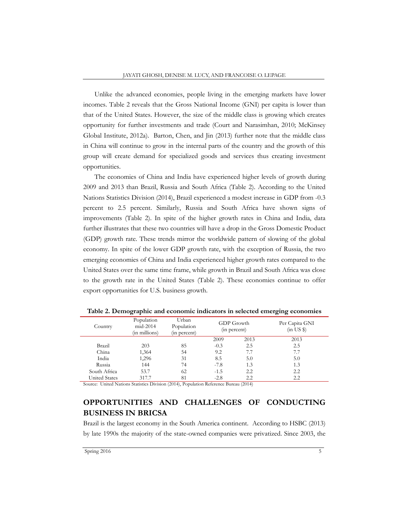Unlike the advanced economies, people living in the emerging markets have lower incomes. Table 2 reveals that the Gross National Income (GNI) per capita is lower than that of the United States. However, the size of the middle class is growing which creates opportunity for further investments and trade (Court and Narasimhan, 2010; McKinsey Global Institute, 2012a). Barton, Chen, and Jin (2013) further note that the middle class in China will continue to grow in the internal parts of the country and the growth of this group will create demand for specialized goods and services thus creating investment opportunities.

The economies of China and India have experienced higher levels of growth during 2009 and 2013 than Brazil, Russia and South Africa (Table 2). According to the United Nations Statistics Division (2014), Brazil experienced a modest increase in GDP from -0.3 percent to 2.5 percent. Similarly, Russia and South Africa have shown signs of improvements (Table 2). In spite of the higher growth rates in China and India, data further illustrates that these two countries will have a drop in the Gross Domestic Product (GDP) growth rate. These trends mirror the worldwide pattern of slowing of the global economy. In spite of the lower GDP growth rate, with the exception of Russia, the two emerging economies of China and India experienced higher growth rates compared to the United States over the same time frame, while growth in Brazil and South Africa was close to the growth rate in the United States (Table 2). These economies continue to offer export opportunities for U.S. business growth.

| Country              | Population<br>$mid-2014$<br>(in millions) | Urban<br>Population<br>(in percent) | GDP Growth<br>(in percent) |      | Per Capita GNI<br>(in US \$) |
|----------------------|-------------------------------------------|-------------------------------------|----------------------------|------|------------------------------|
|                      |                                           |                                     | 2009                       | 2013 | 2013                         |
| Brazil               | 203                                       | 85                                  | $-0.3$                     | 2.5  | 2.5                          |
| China                | 1,364                                     | 54                                  | 9.2                        | 7.7  | 7.7                          |
| India                | 1,296                                     | 31                                  | 8.5                        | 5.0  | 5.0                          |
| Russia               | 144                                       | 74                                  | $-7.8$                     | 1.3  | 1.3                          |
| South Africa         | 53.7                                      | 62                                  | $-1.5$                     | 2.2  | 2.2                          |
| <b>United States</b> | 317.7                                     | 81                                  | $-2.8$                     | 2.2  | 2.2                          |

**Table 2. Demographic and economic indicators in selected emerging economies**

Source: United Nations Statistics Division (2014), Population Reference Bureau (2014)

## **OPPORTUNITIES AND CHALLENGES OF CONDUCTING BUSINESS IN BRICSA**

Brazil is the largest economy in the South America continent. According to HSBC (2013) by late 1990s the majority of the state-owned companies were privatized. Since 2003, the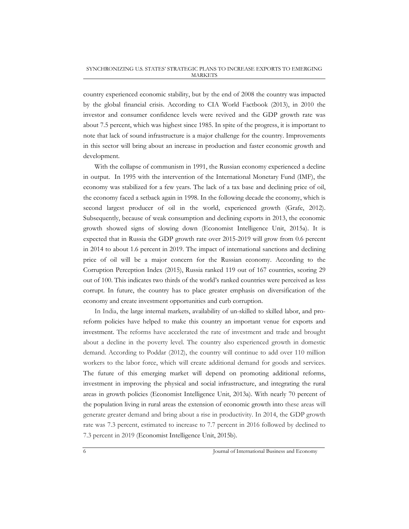country experienced economic stability, but by the end of 2008 the country was impacted by the global financial crisis. According to CIA World Factbook (2013), in 2010 the investor and consumer confidence levels were revived and the GDP growth rate was about 7.5 percent, which was highest since 1985. In spite of the progress, it is important to note that lack of sound infrastructure is a major challenge for the country. Improvements in this sector will bring about an increase in production and faster economic growth and development.

With the collapse of communism in 1991, the Russian economy experienced a decline in output. In 1995 with the intervention of the International Monetary Fund (IMF), the economy was stabilized for a few years. The lack of a tax base and declining price of oil, the economy faced a setback again in 1998. In the following decade the economy, which is second largest producer of oil in the world, experienced growth (Grafe, 2012). Subsequently, because of weak consumption and declining exports in 2013, the economic growth showed signs of slowing down (Economist Intelligence Unit, 2015a). It is expected that in Russia the GDP growth rate over 2015-2019 will grow from 0.6 percent in 2014 to about 1.6 percent in 2019. The impact of international sanctions and declining price of oil will be a major concern for the Russian economy. According to the Corruption Perception Index (2015), Russia ranked 119 out of 167 countries, scoring 29 out of 100. This indicates two thirds of the world's ranked countries were perceived as less corrupt. In future, the country has to place greater emphasis on diversification of the economy and create investment opportunities and curb corruption.

In India, the large internal markets, availability of un-skilled to skilled labor, and proreform policies have helped to make this country an important venue for exports and investment. The reforms have accelerated the rate of investment and trade and brought about a decline in the poverty level. The country also experienced growth in domestic demand. According to Poddar (2012), the country will continue to add over 110 million workers to the labor force, which will create additional demand for goods and services. The future of this emerging market will depend on promoting additional reforms, investment in improving the physical and social infrastructure, and integrating the rural areas in growth policies (Economist Intelligence Unit, 2013a). With nearly 70 percent of the population living in rural areas the extension of economic growth into these areas will generate greater demand and bring about a rise in productivity. In 2014, the GDP growth rate was 7.3 percent, estimated to increase to 7.7 percent in 2016 followed by declined to 7.3 percent in 2019 (Economist Intelligence Unit, 2015b).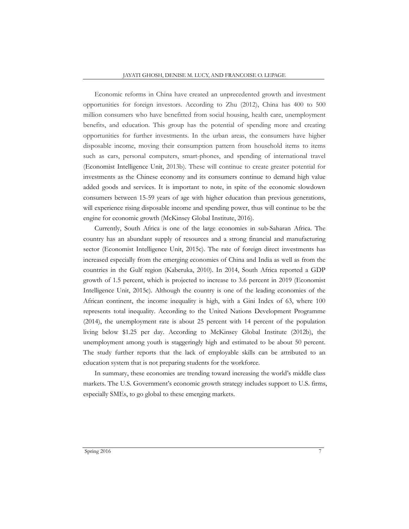Economic reforms in China have created an unprecedented growth and investment opportunities for foreign investors. According to Zhu (2012), China has 400 to 500 million consumers who have benefitted from social housing, health care, unemployment benefits, and education. This group has the potential of spending more and creating opportunities for further investments. In the urban areas, the consumers have higher disposable income, moving their consumption pattern from household items to items such as cars, personal computers, smart-phones, and spending of international travel (Economist Intelligence Unit, 2013b). These will continue to create greater potential for investments as the Chinese economy and its consumers continue to demand high value added goods and services. It is important to note, in spite of the economic slowdown consumers between 15-59 years of age with higher education than previous generations, will experience rising disposable income and spending power, thus will continue to be the engine for economic growth (McKinsey Global Institute, 2016).

Currently, South Africa is one of the large economies in sub-Saharan Africa. The country has an abundant supply of resources and a strong financial and manufacturing sector (Economist Intelligence Unit, 2015c). The rate of foreign direct investments has increased especially from the emerging economies of China and India as well as from the countries in the Gulf region (Kaberuka, 2010). In 2014, South Africa reported a GDP growth of 1.5 percent, which is projected to increase to 3.6 percent in 2019 (Economist Intelligence Unit, 2015c). Although the country is one of the leading economies of the African continent, the income inequality is high, with a Gini Index of 63, where 100 represents total inequality. According to the United Nations Development Programme (2014), the unemployment rate is about 25 percent with 14 percent of the population living below \$1.25 per day. According to McKinsey Global Institute (2012b), the unemployment among youth is staggeringly high and estimated to be about 50 percent. The study further reports that the lack of employable skills can be attributed to an education system that is not preparing students for the workforce.

In summary, these economies are trending toward increasing the world's middle class markets. The U.S. Government's economic growth strategy includes support to U.S. firms, especially SMEs, to go global to these emerging markets.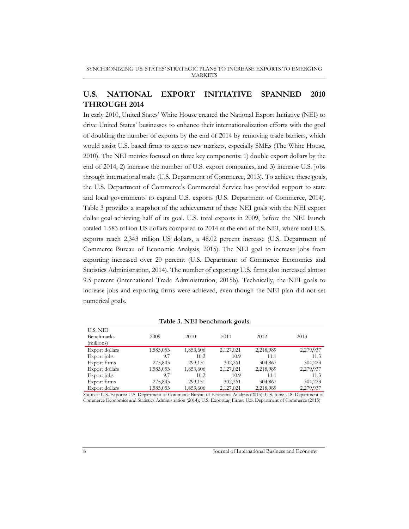## **U.S. NATIONAL EXPORT INITIATIVE SPANNED 2010 THROUGH 2014**

In early 2010, United States' White House created the National Export Initiative (NEI) to drive United States' businesses to enhance their internationalization efforts with the goal of doubling the number of exports by the end of 2014 by removing trade barriers, which would assist U.S. based firms to access new markets, especially SMEs (The White House, 2010). The NEI metrics focused on three key components: 1) double export dollars by the end of 2014, 2) increase the number of U.S. export companies, and 3) increase U.S. jobs through international trade (U.S. Department of Commerce, 2013). To achieve these goals, the U.S. Department of Commerce's Commercial Service has provided support to state and local governments to expand U.S. exports (U.S. Department of Commerce, 2014). Table 3 provides a snapshot of the achievement of these NEI goals with the NEI export dollar goal achieving half of its goal. U.S. total exports in 2009, before the NEI launch totaled 1.583 trillion US dollars compared to 2014 at the end of the NEI, where total U.S. exports reach 2.343 trillion US dollars, a 48.02 percent increase (U.S. Department of Commerce Bureau of Economic Analysis, 2015). The NEI goal to increase jobs from exporting increased over 20 percent (U.S. Department of Commerce Economics and Statistics Administration, 2014). The number of exporting U.S. firms also increased almost 9.5 percent (International Trade Administration, 2015b). Technically, the NEI goals to increase jobs and exporting firms were achieved, even though the NEI plan did not set numerical goals.

| $1400C$ $3.11L$ benefinities $2000$         |           |           |           |           |           |  |  |
|---------------------------------------------|-----------|-----------|-----------|-----------|-----------|--|--|
| U.S. NEI<br><b>Benchmarks</b><br>(millions) | 2009      | 2010      | 2011      | 2012      | 2013      |  |  |
| Export dollars                              | 1,583,053 | 1,853,606 | 2,127,021 | 2,218,989 | 2,279,937 |  |  |
| Export jobs                                 | 9.7       | 10.2      | 10.9      | 11.1      | 11.3      |  |  |
| Export firms                                | 275,843   | 293,131   | 302,261   | 304,867   | 304,223   |  |  |
| Export dollars                              | 1,583,053 | 1,853,606 | 2,127,021 | 2,218,989 | 2,279,937 |  |  |
| Export jobs                                 | 9.7       | 10.2      | 10.9      | 11.1      | 11.3      |  |  |
| Export firms                                | 275,843   | 293,131   | 302,261   | 304,867   | 304,223   |  |  |
| Export dollars                              | 1,583,053 | 1,853,606 | 2,127,021 | 2,218,989 | 2,279,937 |  |  |

**Table 3. NEI benchmark goals**

Sources: U.S. Exports: U.S. Department of Commerce Bureau of Economic Analysis (2015); U.S. Jobs: U.S. Department of Commerce Economics and Statistics Administration (2014); U.S. Exporting Firms: U.S. Department of Commerce (2015)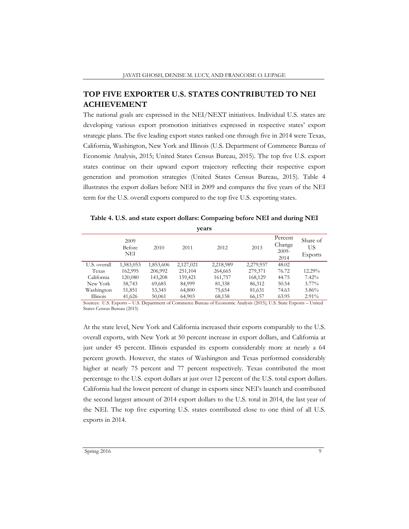### **TOP FIVE EXPORTER U.S. STATES CONTRIBUTED TO NEI ACHIEVEMENT**

The national goals are expressed in the NEI/NEXT initiatives. Individual U.S. states are developing various export promotion initiatives expressed in respective states' export strategic plans. The five leading export states ranked one through five in 2014 were Texas, California, Washington, New York and Illinois (U.S. Department of Commerce Bureau of Economic Analysis, 2015; United States Census Bureau, 2015). The top five U.S. export states continue on their upward export trajectory reflecting their respective export generation and promotion strategies (United States Census Bureau, 2015). Table 4 illustrates the export dollars before NEI in 2009 and compares the five years of the NEI term for the U.S. overall exports compared to the top five U.S. exporting states.

**Table 4. U.S. and state export dollars: Comparing before NEI and during NEI** 

| years        |                       |           |           |           |           |                                      |                           |  |
|--------------|-----------------------|-----------|-----------|-----------|-----------|--------------------------------------|---------------------------|--|
|              | 2009<br>Before<br>NEI | 2010      | 2011      | 2012      | 2013      | Percent<br>Change<br>$2009-$<br>2014 | Share of<br>US<br>Exports |  |
| U.S. overall | 1,583,053             | 1,853,606 | 2,127,021 | 2,218,989 | 2,279,937 | 48.02                                |                           |  |
| Texas        | 162,995               | 206,992   | 251,104   | 264,665   | 279,371   | 76.72                                | 12.29%                    |  |
| California   | 120,080               | 143,208   | 159,421   | 161,757   | 168,129   | 44.75                                | 7.42%                     |  |
| New York     | 58,743                | 69,685    | 84,999    | 81,338    | 86,312    | 50.54                                | $3.77\%$                  |  |
| Washington   | 51,851                | 53,345    | 64,800    | 75,654    | 81,631    | 74.63                                | 3.86%                     |  |
| Illinois     | 41,626                | 50,061    | 64,903    | 68,158    | 66,157    | 63.95                                | $2.91\%$                  |  |

Sources: U.S. Exports – U.S. Department of Commerce Bureau of Economic Analysis (2015); U.S. State Exports – United States Census Bureau (2015)

At the state level, New York and California increased their exports comparably to the U.S. overall exports, with New York at 50 percent increase in export dollars, and California at just under 45 percent. Illinois expanded its exports considerably more at nearly a 64 percent growth. However, the states of Washington and Texas performed considerably higher at nearly 75 percent and 77 percent respectively. Texas contributed the most percentage to the U.S. export dollars at just over 12 percent of the U.S. total export dollars. California had the lowest percent of change in exports since NEI's launch and contributed the second largest amount of 2014 export dollars to the U.S. total in 2014, the last year of the NEI. The top five exporting U.S. states contributed close to one third of all U.S. exports in 2014.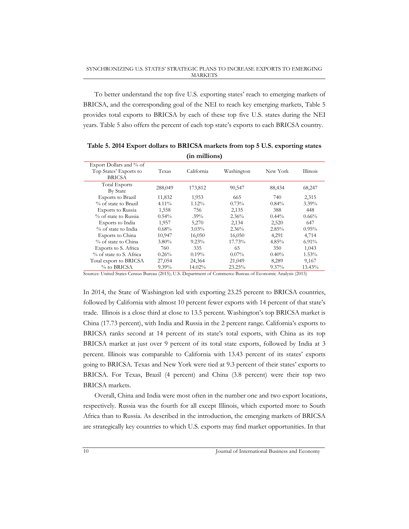To better understand the top five U.S. exporting states' reach to emerging markets of BRICSA, and the corresponding goal of the NEI to reach key emerging markets, Table 5 provides total exports to BRICSA by each of these top five U.S. states during the NEI years. Table 5 also offers the percent of each top state's exports to each BRICSA country.

|                                                                    |          |            | - 1        |          |          |
|--------------------------------------------------------------------|----------|------------|------------|----------|----------|
| Export Dollars and % of<br>Top States' Exports to<br><b>BRICSA</b> | Texas    | California | Washington | New York | Illinois |
| <b>Total Exports</b><br><b>By State</b>                            | 288,049  | 173,812    | 90,547     | 88,434   | 68,247   |
| Exports to Brazil                                                  | 11,832   | 1,953      | 665        | 740      | 2,315    |
| % of state to Brazil                                               | $4.11\%$ | $1.12\%$   | 0.73%      | $0.84\%$ | $3.39\%$ |
| <b>Exports to Russia</b>                                           | 1,558    | 756        | 2,135      | 388      | 448      |
| % of state to Russia                                               | $0.54\%$ | $.39\%$    | 2.36%      | $0.44\%$ | $0.66\%$ |
| Exports to India                                                   | 1,957    | 5,270      | 2,134      | 2,520    | 647      |
| % of state to India                                                | $0.68\%$ | $3.03\%$   | $2.36\%$   | $2.85\%$ | $0.95\%$ |
| Exports to China                                                   | 10,947   | 16,050     | 16,050     | 4,291    | 4,714    |
| % of state to China                                                | $3.80\%$ | $9.23\%$   | 17.73%     | 4.85%    | $6.91\%$ |
| Exports to S. Africa                                               | 760      | 335        | 65         | 350      | 1,043    |
| % of state to S. Africa                                            | 0.26%    | $0.19\%$   | $0.07\%$   | $0.40\%$ | 1.53%    |
| Total export to BRICSA                                             | 27,054   | 24,364     | 21,049     | 8,289    | 9,167    |
| % to BRICSA                                                        | $9.39\%$ | 14.02%     | 23.25%     | $9.37\%$ | 13.43%   |

**Table 5. 2014 Export dollars to BRICSA markets from top 5 U.S. exporting states (in millions)**

Sources: United States Census Bureau (2015); U.S. Department of Commerce Bureau of Economic Analysis (2015)

In 2014, the State of Washington led with exporting 23.25 percent to BRICSA countries, followed by California with almost 10 percent fewer exports with 14 percent of that state's trade. Illinois is a close third at close to 13.5 percent. Washington's top BRICSA market is China (17.73 percent), with India and Russia in the 2 percent range. California's exports to BRICSA ranks second at 14 percent of its state's total exports, with China as its top BRICSA market at just over 9 percent of its total state exports, followed by India at 3 percent. Illinois was comparable to California with 13.43 percent of its states' exports going to BRICSA. Texas and New York were tied at 9.3 percent of their states' exports to BRICSA. For Texas, Brazil (4 percent) and China (3.8 percent) were their top two BRICSA markets.

Overall, China and India were most often in the number one and two export locations, respectively. Russia was the fourth for all except Illinois, which exported more to South Africa than to Russia. As described in the introduction, the emerging markets of BRICSA are strategically key countries to which U.S. exports may find market opportunities. In that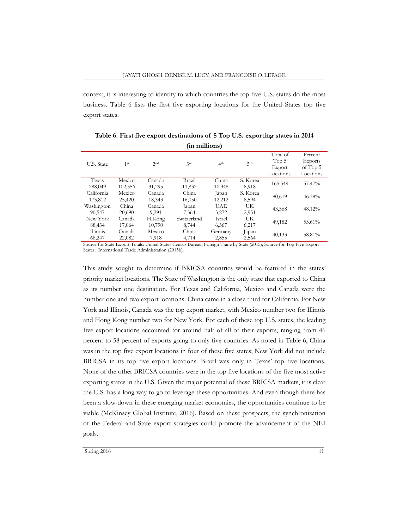context, it is interesting to identify to which countries the top five U.S. states do the most business. Table 6 lists the first five exporting locations for the United States top five export states.

| ні пішнопэ) |                 |        |             |                 |                 |           |                |  |
|-------------|-----------------|--------|-------------|-----------------|-----------------|-----------|----------------|--|
|             |                 |        |             |                 |                 | Total of  | Percent        |  |
| U.S. State  | 1 <sup>st</sup> | 2nd    | 2rd         | 4 <sup>th</sup> | 5 <sup>th</sup> | Top $5$   | <b>Exports</b> |  |
|             |                 |        |             |                 |                 | Export    | of Top 5       |  |
|             |                 |        |             |                 |                 | Locations | Locations      |  |
| Texas       | Mexico          | Canada | Brazil      | China           | S. Korea        |           | 57.47%         |  |
| 288,049     | 102,556         | 31,295 | 11,832      | 10,948          | 8,918           | 165,549   |                |  |
| California  | Mexico          | Canada | China       | Japan           | S. Korea        | 80,619    | 46.38%         |  |
| 173,812     | 25.420          | 18.343 | 16.050      | 12,212          | 8,594           |           |                |  |
| Washington  | China           | Canada | Japan       | <b>UAE</b>      | UK              |           | 48.12%         |  |
| 90.547      | 20,690          | 9.291  | 7.364       | 3.272           | 2,951           | 43,568    |                |  |
| New York    | Canada          | H.Kong | Switzerland | Israel          | UK              |           | 55.61%         |  |
| 88,434      | 17,064          | 10,790 | 8.744       | 6,367           | 6,217           | 49,182    |                |  |
| Illinois    | Canada          | Mexico | China       | Germany         | Japan           |           |                |  |
| 68,247      | 22,082          | 7,918  | 4,714       | 2,855           | 2,564           | 40,133    | 58.81%         |  |

**Table 6. First five export destinations of 5 Top U.S. exporting states in 2014 (in millions)** 

Source for State Export Totals: United States Census Bureau, Foreign Trade by State (2015); Source for Top Five Export States: International Trade Administration (2015b).

This study sought to determine if BRICSA countries would be featured in the states' priority market locations. The State of Washington is the only state that exported to China as its number one destination. For Texas and California, Mexico and Canada were the number one and two export locations. China came in a close third for California. For New York and Illinois, Canada was the top export market, with Mexico number two for Illinois and Hong Kong number two for New York. For each of these top U.S. states, the leading five export locations accounted for around half of all of their exports, ranging from 46 percent to 58 percent of exports going to only five countries. As noted in Table 6, China was in the top five export locations in four of these five states; New York did not include BRICSA in its top five export locations. Brazil was only in Texas' top five locations. None of the other BRICSA countries were in the top five locations of the five most active exporting states in the U.S. Given the major potential of these BRICSA markets, it is clear the U.S. has a long way to go to leverage these opportunities. And even though there has been a slow-down in these emerging market economies, the opportunities continue to be viable (McKinsey Global Institute, 2016). Based on these prospects, the synchronization of the Federal and State export strategies could promote the advancement of the NEI goals.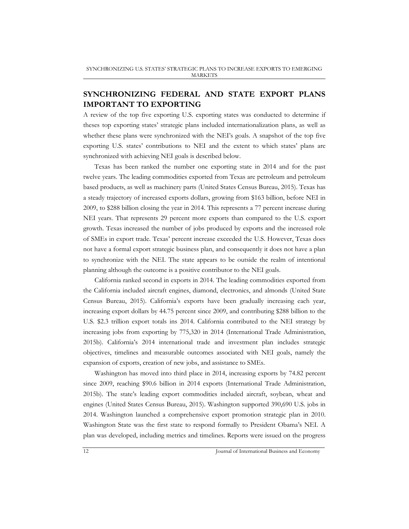## **SYNCHRONIZING FEDERAL AND STATE EXPORT PLANS IMPORTANT TO EXPORTING**

A review of the top five exporting U.S. exporting states was conducted to determine if theses top exporting states' strategic plans included internationalization plans, as well as whether these plans were synchronized with the NEI's goals. A snapshot of the top five exporting U.S. states' contributions to NEI and the extent to which states' plans are synchronized with achieving NEI goals is described below.

Texas has been ranked the number one exporting state in 2014 and for the past twelve years. The leading commodities exported from Texas are petroleum and petroleum based products, as well as machinery parts (United States Census Bureau, 2015). Texas has a steady trajectory of increased exports dollars, growing from \$163 billion, before NEI in 2009, to \$288 billion closing the year in 2014. This represents a 77 percent increase during NEI years. That represents 29 percent more exports than compared to the U.S. export growth. Texas increased the number of jobs produced by exports and the increased role of SMEs in export trade. Texas' percent increase exceeded the U.S. However, Texas does not have a formal export strategic business plan, and consequently it does not have a plan to synchronize with the NEI. The state appears to be outside the realm of intentional planning although the outcome is a positive contributor to the NEI goals.

California ranked second in exports in 2014. The leading commodities exported from the California included aircraft engines, diamond, electronics, and almonds (United State Census Bureau, 2015). California's exports have been gradually increasing each year, increasing export dollars by 44.75 percent since 2009, and contributing \$288 billion to the U.S. \$2.3 trillion export totals ins 2014. California contributed to the NEI strategy by increasing jobs from exporting by 775,320 in 2014 (International Trade Administration, 2015b). California's 2014 international trade and investment plan includes strategic objectives, timelines and measurable outcomes associated with NEI goals, namely the expansion of exports, creation of new jobs, and assistance to SMEs.

Washington has moved into third place in 2014, increasing exports by 74.82 percent since 2009, reaching \$90.6 billion in 2014 exports (International Trade Administration, 2015b). The state's leading export commodities included aircraft, soybean, wheat and engines (United States Census Bureau, 2015). Washington supported 390,690 U.S. jobs in 2014. Washington launched a comprehensive export promotion strategic plan in 2010. Washington State was the first state to respond formally to President Obama's NEI. A plan was developed, including metrics and timelines. Reports were issued on the progress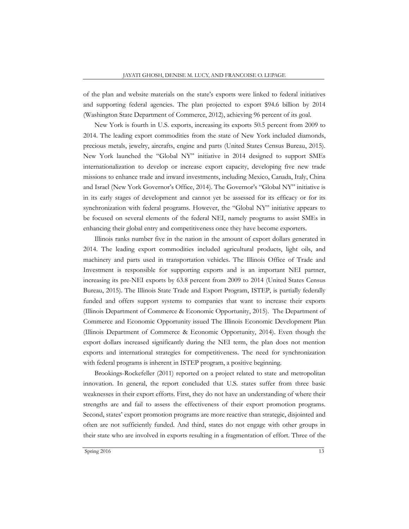of the plan and website materials on the state's exports were linked to federal initiatives and supporting federal agencies. The plan projected to export \$94.6 billion by 2014 (Washington State Department of Commerce, 2012), achieving 96 percent of its goal.

New York is fourth in U.S. exports, increasing its exports 50.5 percent from 2009 to 2014. The leading export commodities from the state of New York included diamonds, precious metals, jewelry, aircrafts, engine and parts (United States Census Bureau, 2015). New York launched the "Global NY" initiative in 2014 designed to support SMEs internationalization to develop or increase export capacity, developing five new trade missions to enhance trade and inward investments, including Mexico, Canada, Italy, China and Israel (New York Governor's Office, 2014). The Governor's "Global NY" initiative is in its early stages of development and cannot yet be assessed for its efficacy or for its synchronization with federal programs. However, the "Global NY" initiative appears to be focused on several elements of the federal NEI, namely programs to assist SMEs in enhancing their global entry and competitiveness once they have become exporters.

Illinois ranks number five in the nation in the amount of export dollars generated in 2014. The leading export commodities included agricultural products, light oils, and machinery and parts used in transportation vehicles. The Illinois Office of Trade and Investment is responsible for supporting exports and is an important NEI partner, increasing its pre-NEI exports by 63.8 percent from 2009 to 2014 (United States Census Bureau, 2015). The Illinois State Trade and Export Program, ISTEP, is partially federally funded and offers support systems to companies that want to increase their exports (Illinois Department of Commerce & Economic Opportunity, 2015). The Department of Commerce and Economic Opportunity issued The Illinois Economic Development Plan (Illinois Department of Commerce & Economic Opportunity, 2014). Even though the export dollars increased significantly during the NEI term, the plan does not mention exports and international strategies for competitiveness. The need for synchronization with federal programs is inherent in ISTEP program, a positive beginning.

Brookings-Rockefeller (2011) reported on a project related to state and metropolitan innovation. In general, the report concluded that U.S. states suffer from three basic weaknesses in their export efforts. First, they do not have an understanding of where their strengths are and fail to assess the effectiveness of their export promotion programs. Second, states' export promotion programs are more reactive than strategic, disjointed and often are not sufficiently funded. And third, states do not engage with other groups in their state who are involved in exports resulting in a fragmentation of effort. Three of the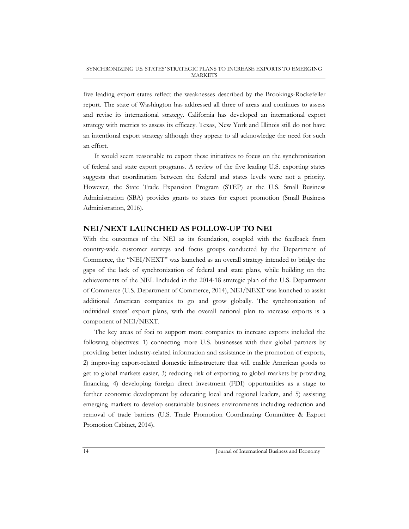five leading export states reflect the weaknesses described by the Brookings-Rockefeller report. The state of Washington has addressed all three of areas and continues to assess and revise its international strategy. California has developed an international export strategy with metrics to assess its efficacy. Texas, New York and Illinois still do not have an intentional export strategy although they appear to all acknowledge the need for such an effort.

It would seem reasonable to expect these initiatives to focus on the synchronization of federal and state export programs. A review of the five leading U.S. exporting states suggests that coordination between the federal and states levels were not a priority. However, the State Trade Expansion Program (STEP) at the U.S. Small Business Administration (SBA) provides grants to states for export promotion (Small Business Administration, 2016).

#### **NEI/NEXT LAUNCHED AS FOLLOW-UP TO NEI**

With the outcomes of the NEI as its foundation, coupled with the feedback from country-wide customer surveys and focus groups conducted by the Department of Commerce, the "NEI/NEXT" was launched as an overall strategy intended to bridge the gaps of the lack of synchronization of federal and state plans, while building on the achievements of the NEI. Included in the 2014-18 strategic plan of the U.S. Department of Commerce (U.S. Department of Commerce, 2014), NEI/NEXT was launched to assist additional American companies to go and grow globally. The synchronization of individual states' export plans, with the overall national plan to increase exports is a component of NEI/NEXT.

The key areas of foci to support more companies to increase exports included the following objectives: 1) connecting more U.S. businesses with their global partners by providing better industry-related information and assistance in the promotion of exports, 2) improving export-related domestic infrastructure that will enable American goods to get to global markets easier, 3) reducing risk of exporting to global markets by providing financing, 4) developing foreign direct investment (FDI) opportunities as a stage to further economic development by educating local and regional leaders, and 5) assisting emerging markets to develop sustainable business environments including reduction and removal of trade barriers (U.S. Trade Promotion Coordinating Committee & Export Promotion Cabinet, 2014).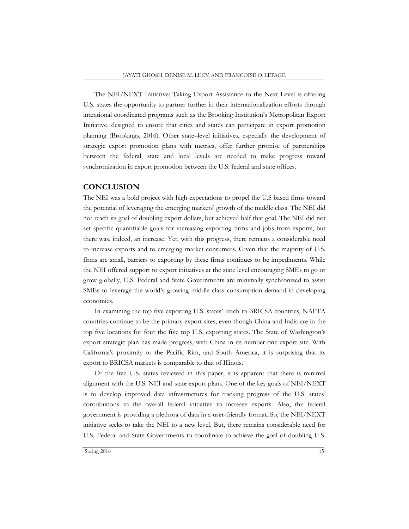The NEI/NEXT Initiative: Taking Export Assistance to the Next Level is offering U.S. states the opportunity to partner further in their internationalization efforts through intentional coordinated programs such as the Brooking Institution's Metropolitan Export Initiative, designed to ensure that cities and states can participate in export promotion planning (Brookings, 2016). Other state–level initiatives, especially the development of strategic export promotion plans with metrics, offer further promise of partnerships between the federal, state and local levels are needed to make progress toward synchronization in export promotion between the U.S. federal and state offices.

#### **CONCLUSION**

The NEI was a bold project with high expectations to propel the U.S based firms toward the potential of leveraging the emerging markets' growth of the middle class. The NEI did not reach its goal of doubling export dollars, but achieved half that goal. The NEI did not set specific quantifiable goals for increasing exporting firms and jobs from exports, but there was, indeed, an increase. Yet, with this progress, there remains a considerable need to increase exports and to emerging market consumers. Given that the majority of U.S. firms are small, barriers to exporting by these firms continues to be impediments. While the NEI offered support to export initiatives at the state level encouraging SMEs to go or grow globally, U.S. Federal and State Governments are minimally synchronized to assist SMEs to leverage the world's growing middle class consumption demand in developing economies.

In examining the top five exporting U.S. states' reach to BRICSA countries, NAFTA countries continue to be the primary export sites, even though China and India are in the top five locations for four the five top U.S. exporting states. The State of Washington's export strategic plan has made progress, with China in its number one export site. With California's proximity to the Pacific Rim, and South America, it is surprising that its export to BRICSA markets is comparable to that of Illinois.

Of the five U.S. states reviewed in this paper, it is apparent that there is minimal alignment with the U.S. NEI and state export plans. One of the key goals of NEI/NEXT is to develop improved data infrastructures for tracking progress of the U.S. states' contributions to the overall federal initiative to increase exports. Also, the federal government is providing a plethora of data in a user-friendly format. So, the NEI/NEXT initiative seeks to take the NEI to a new level. But, there remains considerable need for U.S. Federal and State Governments to coordinate to achieve the goal of doubling U.S.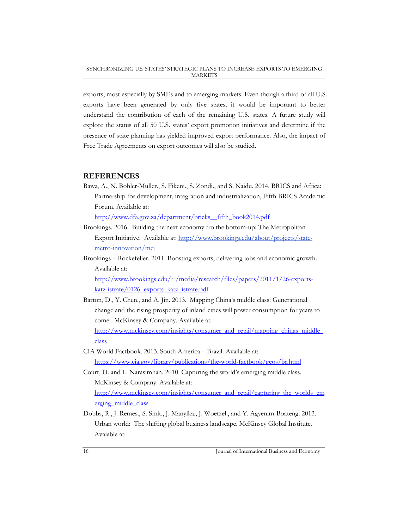exports, most especially by SMEs and to emerging markets. Even though a third of all U.S. exports have been generated by only five states, it would be important to better understand the contribution of each of the remaining U.S. states. A future study will explore the status of all 50 U.S. states' export promotion initiatives and determine if the presence of state planning has yielded improved export performance. Also, the impact of Free Trade Agreements on export outcomes will also be studied.

#### **REFERENCES**

Bawa, A., N. Bohler-Muller., S. Fikeni., S. Zondi., and S. Naidu. 2014. BRICS and Africa: Partnership for development, integration and industrialization, Fifth BRICS Academic Forum. Available at:

http://www.dfa.gov.za/department/bricks\_\_fifth\_book2014.pdf

- Brookings. 2016. Building the next economy fro the bottom-up: The Metropolitan Export Initiative. Available at: http://www.brookings.edu/about/projects/statemetro-innovation/mei
- Brookings Rockefeller. 2011. Boosting exports, delivering jobs and economic growth. Available at:

http://www.brookings.edu/~/media/research/files/papers/2011/1/26-exportskatz-istrate/0126\_exports\_katz\_istrate.pdf

Barton, D., Y. Chen., and A. Jin. 2013. Mapping China's middle class: Generational change and the rising prosperity of inland cities will power consumption for years to come. McKinsey & Company. Available at:

http://www.mckinsey.com/insights/consumer\_and\_retail/mapping\_chinas\_middle\_ class

- CIA World Factbook. 2013. South America Brazil. Available at: https://www.cia.gov/library/publications/the-world-factbook/geos/br.html
- Court, D. and L. Narasimhan. 2010. Capturing the world's emerging middle class. McKinsey & Company. Available at: http://www.mckinsey.com/insights/consumer\_and\_retail/capturing\_the\_worlds\_em erging\_middle\_class
- Dobbs, R., J. Remes., S. Smit., J. Manyika., J. Woetzel., and Y. Agyenim-Boateng. 2013. Urban world: The shifting global business landscape. McKinsey Global Institute. Avaiable at: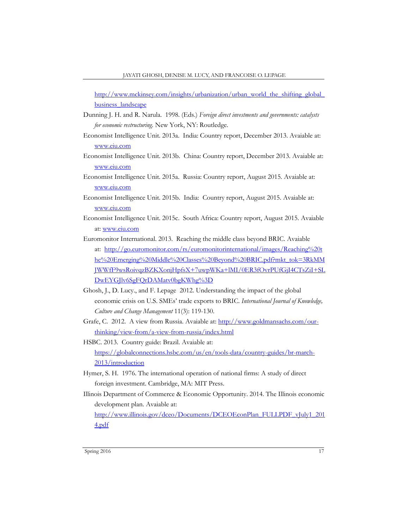http://www.mckinsey.com/insights/urbanization/urban\_world\_the\_shifting\_global\_ business landscape

- Dunning J. H. and R. Narula. 1998. (Eds.) *Foreign direct investments and governments: catalysts for economic restructuring.* New York, NY: Routledge.
- Economist Intelligence Unit. 2013a. India: Country report, December 2013. Avaiable at: www.eiu.com
- Economist Intelligence Unit. 2013b. China: Country report, December 2013. Avaiable at: www.eiu.com
- Economist Intelligence Unit. 2015a. Russia: Country report, August 2015. Avaiable at: www.eiu.com
- Economist Intelligence Unit. 2015b. India: Country report, August 2015. Avaiable at: www.eiu.com
- Economist Intelligence Unit. 2015c. South Africa: Country report, August 2015. Avaiable at: www.eiu.com
- Euromonitor International. 2013. Reaching the middle class beyond BRIC. Avaiable at: http://go.euromonitor.com/rs/euromonitorinternational/images/Reaching%20t he%20Emerging%20Middle%20Classes%20Beyond%20BRIC.pdf?mkt\_tok=3RkMM JWWfF9wsRoivqzBZKXonjHpfsX+7uwpWKa+lMI/0ER3fOvrPUfGjI4CTsZiI+SL DwEYGJlv6SgFQrDAMatv0bgKWhg%3D
- Ghosh, J., D. Lucy., and F. Lepage 2012. Understanding the impact of the global economic crisis on U.S. SMEs' trade exports to BRIC. *International Journal of Knowledge, Culture and Change Management* 11(3): 119-130.
- Grafe, C. 2012. A view from Russia. Avaiable at: http://www.goldmansachs.com/ourthinking/view-from/a-view-from-russia/index.html
- HSBC. 2013. Country guide: Brazil. Avaiable at: https://globalconnections.hsbc.com/us/en/tools-data/country-guides/br-march-2013/introduction
- Hymer, S. H. 1976. The international operation of national firms: A study of direct foreign investment. Cambridge, MA: MIT Press.
- Illinois Department of Commerce & Economic Opportunity. 2014. The Illinois economic development plan. Avaiable at:

http://www.illinois.gov/dceo/Documents/DCEOEconPlan\_FULLPDF\_vJuly1\_201 4.pdf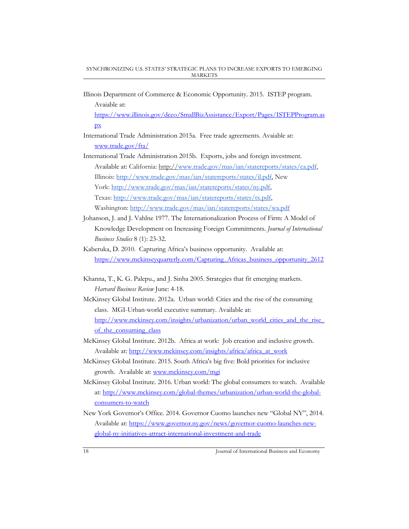Illinois Department of Commerce & Economic Opportunity. 2015. ISTEP program. Avaiable at:

https://www.illinois.gov/dceo/SmallBizAssistance/Export/Pages/ISTEPProgram.as  $\mathbf{p}$ 

- International Trade Administration 2015a. Free trade agreements. Avaiable at: www.trade.gov/fta/
- International Trade Administration 2015b. Exports, jobs and foreign investment. Available at: California: http://www.trade.gov/mas/ian/statereports/states/ca.pdf, Illinois: http://www.trade.gov/mas/ian/statereports/states/il.pdf, New York: http://www.trade.gov/mas/ian/statereports/states/ny.pdf, Texas: http://www.trade.gov/mas/ian/statereports/states/tx.pdf, Washington: http://www.trade.gov/mas/ian/statereports/states/wa.pdf
- Johanson, J. and J. Vahlne 1977. The Internationalization Process of Firm: A Model of Knowledge Development on Increasing Foreign Commitments. *Journal of International Business Studies* 8 (1): 23-32.
- Kaberuka, D. 2010. Capturing Africa's business opportunity. Available at: https://www.mckinseyquarterly.com/Capturing Africas business\_opportunity\_2612
- Khanna, T., K. G. Palepu., and J. Sinha 2005. Strategies that fit emerging markets. *Harvard Business Review* June: 4-18.
- McKinsey Global Institute. 2012a. Urban world: Cities and the rise of the consuming class. MGI-Urban-world executive summary. Available at: http://www.mckinsey.com/insights/urbanization/urban\_world\_cities\_and\_the\_rise\_ of the consuming class
- McKinsey Global Institute. 2012b. Africa at work: Job creation and inclusive growth. Available at: http://www.mckinsey.com/insights/africa/africa\_at\_work
- McKinsey Global Institute. 2015. South Africa's big five: Bold priorities for inclusive growth. Available at: www.mckinsey.com/mgi
- McKinsey Global Institute. 2016. Urban world: The global consumers to watch. Available at: http://www.mckinsey.com/global-themes/urbanization/urban-world-the-globalconsumers-to-watch
- New York Governor's Office. 2014. Governor Cuomo launches new "Global NY", 2014. Available at: https://www.governor.ny.gov/news/governor-cuomo-launches-newglobal-ny-initiatives-attract-international-investment-and-trade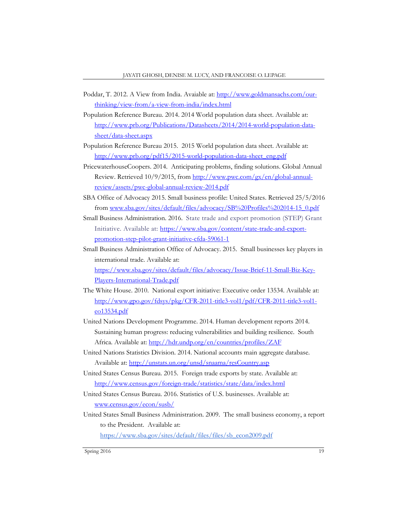- Poddar, T. 2012. A View from India. Avaiable at: http://www.goldmansachs.com/ourthinking/view-from/a-view-from-india/index.html
- Population Reference Bureau. 2014. 2014 World population data sheet. Available at: http://www.prb.org/Publications/Datasheets/2014/2014-world-population-datasheet/data-sheet.aspx
- Population Reference Bureau 2015. 2015 World population data sheet. Available at: http://www.prb.org/pdf15/2015-world-population-data-sheet\_eng.pdf
- PricewaterhouseCoopers. 2014. Anticipating problems, finding solutions. Global Annual Review. Retrieved 10/9/2015, from http://www.pwc.com/gx/en/global-annualreview/assets/pwc-global-annual-review-2014.pdf
- SBA Office of Advocacy 2015. Small business profile: United States. Retrieved 25/5/2016 from www.sba.gov/sites/default/files/advocacy/SB%20Profiles%202014-15\_0.pdf
- Small Business Administration. 2016. State trade and export promotion (STEP) Grant Initiative. Available at: https://www.sba.gov/content/state-trade-and-exportpromotion-step-pilot-grant-initiative-cfda-59061-1
- Small Business Administration Office of Advocacy. 2015. Small businesses key players in international trade. Available at: https://www.sba.gov/sites/default/files/advocacy/Issue-Brief-11-Small-Biz-Key-Players-International-Trade.pdf
- The White House. 2010. National export initiative: Executive order 13534. Available at: http://www.gpo.gov/fdsys/pkg/CFR-2011-title3-vol1/pdf/CFR-2011-title3-vol1 eo13534.pdf
- United Nations Development Programme. 2014. Human development reports 2014. Sustaining human progress: reducing vulnerabilities and building resilience. South Africa. Available at: http://hdr.undp.org/en/countries/profiles/ZAF
- United Nations Statistics Division. 2014. National accounts main aggregate database. Available at: http://unstats.un.org/unsd/snaama/resCountry.asp
- United States Census Bureau. 2015. Foreign trade exports by state. Available at: http://www.census.gov/foreign-trade/statistics/state/data/index.html
- United States Census Bureau. 2016. Statistics of U.S. businesses. Available at: www.census.gov/econ/susb/
- United States Small Business Administration. 2009. The small business economy, a report to the President. Available at: https://www.sba.gov/sites/default/files/files/sb\_econ2009.pdf